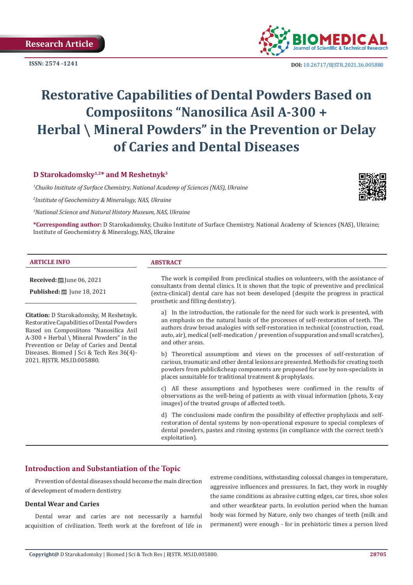**ISSN: 2574 -1241**



 **DOI:** [10.26717/BJSTR.2021.36.005880](https://dx.doi.org/10.26717/BJSTR.2021.36.005880)

# **Restorative Сapabilities of Dental Powders Based on Composiitons "Nanosilica Asil A-300 + Herbal \ Mineral Powders" in the Prevention or Delay of Caries and Dental Diseases**

# **D Starokadomsky1,2\* and M Reshetnyk3**

*1 Chuiko Institute of Surface Chemistry, National Academy of Sciences (NAS), Ukraine*

*2 Institute of Geochemistry & Mineralogy, NAS, Ukraine*

*3 National Science and Natural History Museum, NAS, Ukraine*

**\*Corresponding author:** D Starokadomsky, Chuiko Institute of Surface Chemistry, National Academy of Sciences (NAS), Ukraine; Institute of Geochemistry & Mineralogy, NAS, Ukraine

### **ARTICLE INFO ABSTRACT**

**Received:** ■ June 06, 2021

**Published:** ■ June 18, 2021

**Citation:** D Starokadomsky, M Reshetnyk. Restorative Сapabilities of Dental Powders Based on Composiitons "Nanosilica Asil A-300 + Herbal  $\backslash$  Mineral Powders" in the Prevention or Delay of Caries and Dental Diseases. Biomed J Sci & Tech Res 36(4)- 2021. BJSTR. MS.ID.005880.

The work is compiled from preclinical studies on volunteers, with the assistance of consultants from dental clinics. It is shown that the topic of preventive and preclinical (extra-clinical) dental care has not been developed (despite the progress in practical prosthetic and filling dentistry).

a) In the introduction, the rationale for the need for such work is presented, with an emphasis on the natural basis of the processes of self-restoration of teeth. The authors draw broad analogies with self-restoration in technical (construction, road, auto, air), medical (self-medication / prevention of suppuration and small scratches), and other areas.

b) Theoretical assumptions and views on the processes of self-restoration of carious, traumatic and other dental lesions are presented. Methods for creating tooth powders from public&cheap components are proposed for use by non-specialists in places unsuitable for traditional treatment & prophylaxis.

c) All these assumptions and hypotheses were confirmed in the results of observations as the well-being of patients as with visual information (photo, X-ray images) of the treated groups of affected teeth.

d) The conclusions made confirm the possibility of effective prophylaxis and selfrestoration of dental systems by non-operational exposure to special complexes of dental powders, pastes and rinsing systems (in compliance with the correct teeth's exploitation).

# **Introduction and Substantiation of the Topic**

Prevention of dental diseases should become the main direction of development of modern dentistry.

#### **Dental Wear and Caries**

Dental wear and caries are not necessarily a harmful acquisition of civilization. Teeth work at the forefront of life in

extreme conditions, withstanding colossal changes in temperature, aggressive influences and pressures. In fact, they work in roughly the same conditions as abrasive cutting edges, car tires, shoe soles and other wear&tear parts. In evolution period when the human body was formed by Nature, only two changes of teeth (milk and permanent) were enough - for in prehistoric times a person lived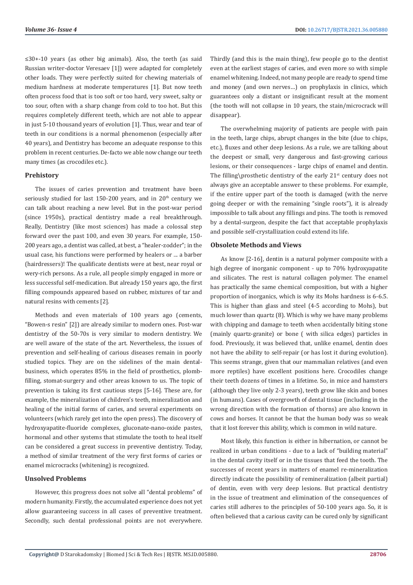≤30+-10 years (as other big animals). Also, the teeth (as said Russian writer-doctor Veresaev [1]) were adapted for completely other loads. They were perfectly suited for chewing materials of medium hardness at moderate temperatures [1]. But now teeth often process food that is too soft or too hard, very sweet, salty or too sour, often with a sharp change from cold to too hot. But this requires completely different teeth, which are not able to appear in just 5-10 thousand years of evolution [1]. Thus, wear and tear of teeth in our conditions is a normal phenomenon (especially after 40 years), and Dentistry has become an adequate response to this problem in recent centuries. De-facto we able now change our teeth many times (as crocodiles etc.).

#### **Prehistory**

The issues of caries prevention and treatment have been seriously studied for last 150-200 years, and in  $20<sup>th</sup>$  century we can talk about reaching a new level. But in the post-war period (since 1950s), practical dentistry made a real breakthrough. Really, Dentistry (like most sciences) has made a colossal step forward over the past 100, and even 30 years. For example, 150- 200 years ago, a dentist was called, at best, a "healer-zodder"; in the usual case, his functions were performed by healers or ... a barber (hairdressers)! The qualificate dentists were at best, near royal or wery-rich persons. As a rule, all people simply engaged in more or less successful self-medication. But already 150 years ago, the first filling compounds appeared based on rubber, mixtures of tar and natural resins with cements [2].

Methods and even materials of 100 years ago (cements, "Bowen-s resin" [2]) are already similar to modern ones. Post-war dentistry of the 50-70s is very similar to modern dentistry. We are well aware of the state of the art. Nevertheless, the issues of prevention and self-healing of carious diseases remain in poorly studied topics. They are on the sidelines of the main dentalbusiness, which operates 85% in the field of prosthetics, plombfilling, stomat-surgery and other areas known to us. The topic of prevention is taking its first cautious steps [5-16]. These are, for example, the mineralization of children's teeth, mineralization and healing of the initial forms of caries, and several experiments on volunteers (which rarely get into the open press). The discovery of hydroxyapatite-fluoride complexes, gluconate-nano-oxide pastes, hormonal and other systems that stimulate the tooth to heal itself can be considered a great success in preventive dentistry. Today, a method of similar treatment of the very first forms of caries or enamel microcracks (whitening) is recognized.

#### **Unsolved Problems**

However, this progress does not solve all "dental problems" of modern humanity. Firstly, the accumulated experience does not yet allow guaranteeing success in all cases of preventive treatment. Secondly, such dental professional points are not everywhere.

Thirdly (and this is the main thing), few people go to the dentist even at the earliest stages of caries, and even more so with simple enamel whitening. Indeed, not many people are ready to spend time and money (and own nerves…) on prophylaxis in clinics, which guarantees only a distant or insignificant result at the moment (the tooth will not collapse in 10 years, the stain/microcrack will disappear).

The overwhelming majority of patients are people with pain in the teeth, large chips, abrupt changes in the bite (due to chips, etc.), fluxes and other deep lesions. As a rule, we are talking about the deepest or small, very dangerous and fast-growing carious lesions, or their consequences - large chips of enamel and dentin. The filling\prosthetic dentistry of the early  $21<sup>st</sup>$  century does not always give an acceptable answer to these problems. For example, if the entire upper part of the tooth is damaged (with the nerve going deeper or with the remaining "single roots"), it is already impossible to talk about any fillings and pins. The tooth is removed by a dental-surgeon, despite the fact that acceptable prophylaxis and possible self-crystallization could extend its life.

#### **Obsolete Methods and Views**

As know [2-16], dentin is a natural polymer composite with a high degree of inorganic component - up to 70% hydroxyapatite and silicates. The rest is natural collagen polymer. The enamel has practically the same chemical composition, but with a higher proportion of inorganics, which is why its Mohs hardness is 6-6.5. This is higher than glass and steel (4-5 according to Mohs), but much lower than quartz (8). Which is why we have many problems with chipping and damage to teeth when accidentally biting stone (mainly quartz-granite) or bone ( with silica edges) particles in food. Previously, it was believed that, unlike enamel, dentin does not have the ability to self-repair (or has lost it during evolution). This seems strange, given that our mammalian relatives (and even more reptiles) have excellent positions here. Crocodiles change their teeth dozens of times in a lifetime. So, in mice and hamsters (although they live only 2-3 years), teeth grow like skin and bones (in humans). Cases of overgrowth of dental tissue (including in the wrong direction with the formation of thorns) are also known in cows and horses. It cannot be that the human body was so weak that it lost forever this ability, which is common in wild nature.

Most likely, this function is either in hibernation, or cannot be realized in urban conditions - due to a lack of "building material" in the dental cavity itself or in the tissues that feed the tooth. The successes of recent years in matters of enamel re-mineralization directly indicate the possibility of remineralization (albeit partial) of dentin, even with very deep lesions. But practical dentistry in the issue of treatment and elimination of the consequences of caries still adheres to the principles of 50-100 years ago. So, it is often believed that a carious cavity can be cured only by significant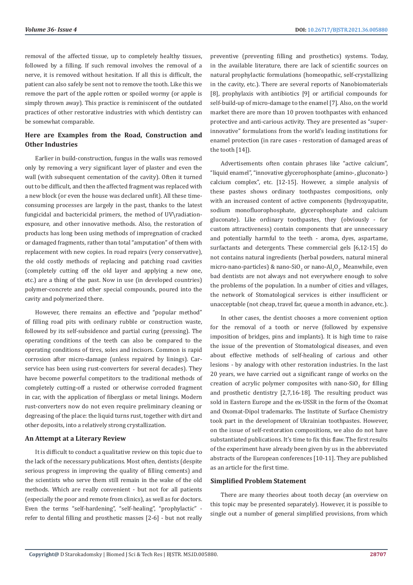removal of the affected tissue, up to completely healthy tissues, followed by a filling. If such removal involves the removal of a nerve, it is removed without hesitation. If all this is difficult, the patient can also safely be sent not to remove the tooth. Like this we remove the part of the apple rotten or spoiled wormy (or apple is simply thrown away). This practice is reminiscent of the outdated practices of other restorative industries with which dentistry can be somewhat comparable.

# **Here are Examples from the Road, Construction and Other Industries**

Earlier in build-construction, fungus in the walls was removed only by removing a very significant layer of plaster and even the wall (with subsequent cementation of the cavity). Often it turned out to be difficult, and then the affected fragment was replaced with a new block (or even the house was declared unfit). All these timeconsuming processes are largely in the past, thanks to the latest fungicidal and bactericidal primers, the method of UV\radiationexposure, and other innovative methods. Also, the restoration of products has long been using methods of impregnation of cracked or damaged fragments, rather than total "amputation" of them with replacement with new copies. In road repairs (very conservative), the old costly methods of replacing and patching road cavities (completely cutting off the old layer and applying a new one, etc.) are a thing of the past. Now in use (in developed countries) polymer-concrete and other special compounds, poured into the cavity and polymerized there.

However, there remains an effective and "popular method" of filling road pits with ordinary rubble or construction waste, followed by its self-subsidence and partial curing (pressing). The operating conditions of the teeth can also be compared to the operating conditions of tires, soles and incisors. Common is rapid corrosion after micro-damage (unless repaired by linings). Carservice has been using rust-converters for several decades). They have become powerful competitors to the traditional methods of completely cutting-off a rusted or otherwise corroded fragment in car, with the application of fiberglass or metal linings. Modern rust-converters now do not even require preliminary cleaning or degreasing of the place: the liquid turns rust, together with dirt and other deposits, into a relatively strong crystallization.

#### **An Attempt at a Literary Review**

It is difficult to conduct a qualitative review on this topic due to the lack of the necessary publications. Most often, dentists (despite serious progress in improving the quality of filling cements) and the scientists who serve them still remain in the wake of the old methods. Which are really convenient - but not for all patients (especially the poor and remote from clinics), as well as for doctors. Even the terms "self-hardening", "self-healing", "prophylactic" refer to dental filling and prosthetic masses [2-6] - but not really

preventive (preventing filling and prosthetics) systems. Today, in the available literature, there are lack of scientific sources on natural prophylactic formulations (homeopathic, self-crystallizing in the cavity, etc.). There are several reports of Nanobiomaterials [8], prophylaxis with antibiotics [9] or artificial compounds for self-build-up of micro-damage to the enamel [7]. Also, on the world market there are more than 10 proven toothpastes with enhanced protective and anti-carious activity. They are presented as "superinnovative" formulations from the world's leading institutions for enamel protection (in rare cases - restoration of damaged areas of the tooth [14]).

Advertisements often contain phrases like "active calcium", "liquid enamel", "innovative glycerophosphate (amino-, gluconato-) calcium complex", etc. [12-15]. However, a simple analysis of these pastes shows ordinary toothpastes compositions, only with an increased content of active components (hydroxyapatite, sodium monofluorophosphate, glycerophosphate and calcium gluconate). Like ordinary toothpastes, they (obviously - for custom attractiveness) contain components that are unnecessary and potentially harmful to the teeth - aroma, dyes, aspartame, surfactants and detergents. These commercial gels [6,12-15] do not contains natural ingredients (herbal powders, natural mineral micro-nano-particles) & nano-SiO<sub>2</sub> or nano-Al<sub>2</sub>O<sub>3</sub>. Meanwhile, even bad dentists are not always and not everywhere enough to solve the problems of the population. In a number of cities and villages, the network of Stomatological services is either insufficient or unacceptable (not cheap, travel far, queue a month in advance, etc.).

In other cases, the dentist chooses a more convenient option for the removal of a tooth or nerve (followed by expensive imposition of bridges, pins and implants). It is high time to raise the issue of the prevention of Stomatological diseases, and even about effective methods of self-healing of carious and other lesions - by analogy with other restoration industries. In the last 20 years, we have carried out a significant range of works on the creation of acrylic polymer composites with nano-SiO<sub>2</sub> for filling and prosthetic dentistry [2,7,16-18]. The resulting product was sold in Eastern Europe and the ex-USSR in the form of the Oxomat and Oxomat-Dipol trademarks. The Institute of Surface Chemistry took part in the development of Ukrainian toothpastes. However, on the issue of self-restoration compositions, we also do not have substantiated publications. It's time to fix this flaw. The first results of the experiment have already been given by us in the abbreviated abstracts of the European conferences [10-11]. They are published as an article for the first time.

#### **Simplified Problem Statement**

There are many theories about tooth decay (an overview on this topic may be presented separately). However, it is possible to single out a number of general simplified provisions, from which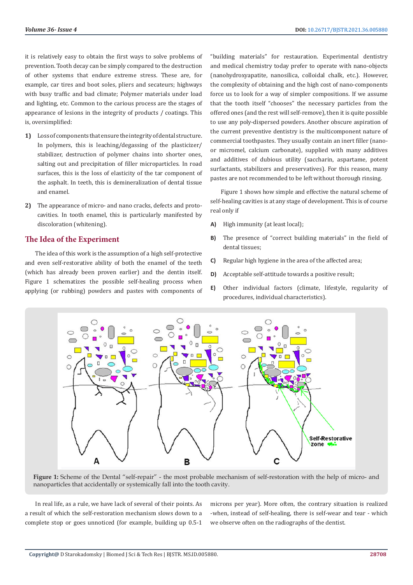it is relatively easy to obtain the first ways to solve problems of prevention. Tooth decay can be simply compared to the destruction of other systems that endure extreme stress. These are, for example, car tires and boot soles, pliers and secateurs; highways with busy traffic and bad climate; Polymer materials under load and lighting, etc. Common to the carious process are the stages of appearance of lesions in the integrity of products / coatings. This is, oversimplified:

- **1)** Loss of components that ensure the integrity of dental structure. In polymers, this is leaching/degassing of the plasticizer/ stabilizer, destruction of polymer chains into shorter ones, salting out and precipitation of filler microparticles. In road surfaces, this is the loss of elasticity of the tar component of the asphalt. In teeth, this is demineralization of dental tissue and enamel.
- **2)** The appearance of micro- and nano cracks, defects and protocavities. In tooth enamel, this is particularly manifested by discoloration (whitening).

# **The Idea of the Experiment**

The idea of this work is the assumption of a high self-protective and even self-restorative ability of both the enamel of the teeth (which has already been proven earlier) and the dentin itself. Figure 1 schematizes the possible self-healing process when applying (or rubbing) powders and pastes with components of "building materials" for restauration. Experimental dentistry and medical chemistry today prefer to operate with nano-objects (nanohydroxyapatite, nanosilica, colloidal chalk, etc.). However, the complexity of obtaining and the high cost of nano-components force us to look for a way of simpler compositions. If we assume that the tooth itself "chooses" the necessary particles from the offered ones (and the rest will self-remove), then it is quite possible to use any poly-dispersed powders. Another obscure aspiration of the current preventive dentistry is the multicomponent nature of commercial toothpastes. They usually contain an inert filler (nanoor micromel, calcium carbonate), supplied with many additives and additives of dubious utility (saccharin, aspartame, potent surfactants, stabilizers and preservatives). For this reason, many pastes are not recommended to be left without thorough rinsing.

Figure 1 shows how simple and effective the natural scheme of self-healing cavities is at any stage of development. This is of course real only if

- **A)** High immunity (at least local);
- **B)** The presence of "correct building materials" in the field of dental tissues;
- **C)** Regular high hygiene in the area of the affected area;
- **D)** Acceptable self-attitude towards a positive result;
- **E)** Other individual factors (climate, lifestyle, regularity of procedures, individual characteristics).



**Figure 1:** Scheme of the Dental "self-repair" - the most probable mechanism of self-restoration with the help of micro- and nanoparticles that accidentally or systemically fall into the tooth cavity.

In real life, as a rule, we have lack of several of their points. As a result of which the self-restoration mechanism slows down to a complete stop or goes unnoticed (for example, building up 0.5-1 microns per year). More often, the contrary situation is realized -when, instead of self-healing, there is self-wear and tear - which we observe often on the radiographs of the dentist.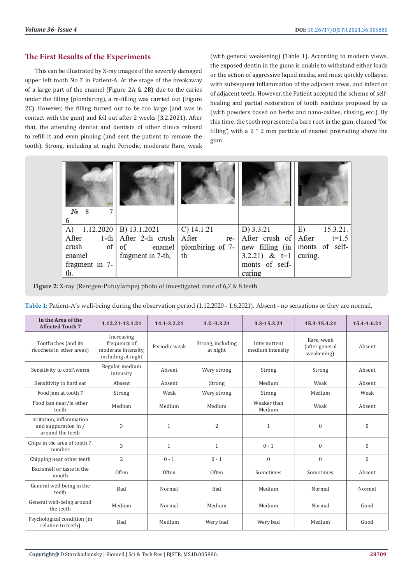# **The First Results of the Experiments**

This can be illustrated by X-ray images of the severely damaged upper left tooth No 7 in Patient-A. At the stage of the breakaway of a large part of the enamel (Figure 2A & 2B) due to the caries under the filling (plombiring), a re-filling was carried out (Figure 2C). However, the filling turned out to be too large (and was in contact with the gum) and fell out after 2 weeks (3.2.2021). After that, the attending dentist and dentists of other clinics refused to refill it and even pinning (and sent the patient to remove the tooth). Strong, including at night Periodic, moderate Rare, weak (with general weakening) (Table 1). According to modern views, the exposed dentin in the gums is unable to withstand either loads or the action of aggressive liquid media, and must quickly collapse, with subsequent inflammation of the adjacent areas, and infection of adjacent teeth. However, the Patient accepted the scheme of selfhealing and partial restoration of tooth residues proposed by us (with powders based on herbs and nano-oxides, rinsing, etc.). By this time, the tooth represented a bare root in the gum, cleaned "for filling", with a 2 \* 2 mm particle of enamel protruding above the gum.

| $N_2$ 8<br>6                      |                                             |                                                           |                              |                |
|-----------------------------------|---------------------------------------------|-----------------------------------------------------------|------------------------------|----------------|
| A) $1.12.2020 \mid B$ ) 13.1.2021 |                                             | $C)$ 14.1.21                                              | $D)$ 3.3.21                  | E)<br>15.3.21. |
| After                             | 1-th $\vert$ After 2-th crush $\vert$ After |                                                           | re-   After crush of   After | $t=1.5$        |
| $\circ$ f  <br>crush              | of                                          | enamel plombiring of $7 -$ new filling (in monts of self- |                              |                |
| enamel                            | fragment in 7-th,                           | th                                                        | 3.2.21) & $t=1$              | curing.        |
| fragment in 7-                    |                                             |                                                           | monts of self-               |                |
| th.                               |                                             |                                                           | curing                       |                |

**Figure 2:** X-ray (Rentgen-Putuylampe) photo of investigated zone of 6,7 & 8 teeth.

| Table 1: Patient-A's well-being during the observation period (1.12.2020 - 1.6.2021). Absent - no sensations or they are normal. |  |  |  |  |  |
|----------------------------------------------------------------------------------------------------------------------------------|--|--|--|--|--|
|                                                                                                                                  |  |  |  |  |  |

| In the Area of the<br><b>Affected Tooth 7</b>                        | 1.12.21-13.1.21                                                         | 14.1-3.2.21   | $3.2 - 3.3.21$                | 3.3-15.3.21                      | 15.3-15.4.21                               | 15.4-1.6.21      |
|----------------------------------------------------------------------|-------------------------------------------------------------------------|---------------|-------------------------------|----------------------------------|--------------------------------------------|------------------|
| Toothaches (and its<br>ricochets in other areas)                     | Increasing<br>frequency of<br>moderate intensity,<br>including at night | Periodic weak | Strong, including<br>at night | Intermittent<br>medium intensity | Rare, weak<br>(after general<br>weakening) | Absent           |
| Sensitivity to cool\warm                                             | Regular medium<br>intensity                                             | Absent        | Wery strong                   | Strong                           | Strong                                     | Absent           |
| Sensitivity to hard eat                                              | Absent                                                                  | Absent        | Strong                        | Medium                           | Weak                                       | Absent           |
| Food jam at tooth 7                                                  | Strong                                                                  | Weak          | Wery strong                   | Strong                           | Medium                                     | Weak             |
| Food jam near/in other<br>teeth                                      | Medium                                                                  | Medium        | Medium                        | Weaker than<br>Medium            | Weak                                       | Absent           |
| irritation, inflammation<br>and suppuration in /<br>around the teeth | 3                                                                       | $\mathbf{1}$  | $\overline{2}$                | $\mathbf{1}$                     | $\mathbf{0}$                               | $\mathbf{0}$     |
| Chips in the area of tooth 7.<br>number                              | 3                                                                       | $\mathbf{1}$  | $\mathbf{1}$                  | $0 - 1$                          | $\mathbf{0}$                               | $\boldsymbol{0}$ |
| Chipping near other teeth                                            | $\overline{2}$                                                          | $0 - 1$       | $0 - 1$                       | $\mathbf{0}$                     | $\mathbf{0}$                               | $\mathbf{0}$     |
| Bad smell or taste in the<br>mouth                                   | Often                                                                   | Often         | Often                         | Sometimes                        | Sometimes                                  | Absent           |
| General well-being in the<br>teeth                                   | Bad                                                                     | Normal        | <b>Bad</b>                    | Medium                           | Normal                                     | Normal           |
| General well-being around<br>the teeth                               | Medium                                                                  | Normal        | Medium                        | Medium                           | Normal                                     | Good             |
| Psychological condition (in<br>relation to teeth)                    | Bad                                                                     | Medium        | Wery bad                      | Wery bad                         | Medium                                     | Good             |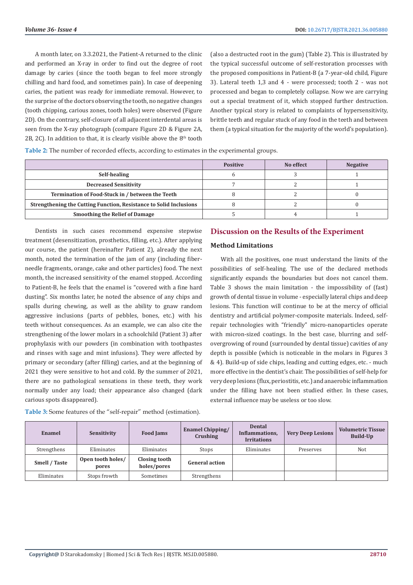A month later, on 3.3.2021, the Patient-A returned to the clinic and performed an X-ray in order to find out the degree of root damage by caries (since the tooth began to feel more strongly chilling and hard food, and sometimes pain). In case of deepening caries, the patient was ready for immediate removal. However, to the surprise of the doctors observing the tooth, no negative changes (tooth chipping, carious zones, tooth holes) were observed (Figure 2D). On the contrary, self-closure of all adjacent interdental areas is seen from the X-ray photograph (compare Figure 2D & Figure 2A, 2B, 2C). In addition to that, it is clearly visible above the  $8<sup>th</sup>$  tooth

(also a destructed root in the gum) (Table 2). This is illustrated by the typical successful outcome of self-restoration processes with the proposed compositions in Patient-B (a 7-year-old child, Figure 3). Lateral teeth 1,3 and 4 - were processed; tooth 2 - was not processed and began to completely collapse. Now we are carrying out a special treatment of it, which stopped further destruction. Another typical story is related to complaints of hypersensitivity, brittle teeth and regular stuck of any food in the teeth and between them (a typical situation for the majority of the world's population).

**Table 2:** The number of recorded effects, according to estimates in the experimental groups.

|                                                                    | <b>Positive</b> | No effect | <b>Negative</b> |
|--------------------------------------------------------------------|-----------------|-----------|-----------------|
| Self-healing                                                       |                 |           |                 |
| <b>Decreased Sensitivity</b>                                       |                 |           |                 |
| Termination of Food-Stuck in / between the Teeth                   |                 |           |                 |
| Strengthening the Cutting Function, Resistance to Solid Inclusions |                 |           |                 |
| <b>Smoothing the Relief of Damage</b>                              |                 |           |                 |

Dentists in such cases recommend expensive stepwise treatment (desensitization, prosthetics, filling, etc.). After applying our course, the patient (hereinafter Patient 2), already the next month, noted the termination of the jam of any (including fiberneedle fragments, orange, cake and other particles) food. The next month, the increased sensitivity of the enamel stopped. According to Patient-B, he feels that the enamel is "covered with a fine hard dusting". Six months later, he noted the absence of any chips and spalls during chewing, as well as the ability to gnaw random aggressive inclusions (parts of pebbles, bones, etc.) with his teeth without consequences. As an example, we can also cite the strengthening of the lower molars in a schoolchild (Patient 3) after prophylaxis with our powders (in combination with toothpastes and rinses with sage and mint infusions). They were affected by primary or secondary (after filling) caries, and at the beginning of 2021 they were sensitive to hot and cold. By the summer of 2021, there are no pathological sensations in these teeth, they work normally under any load; their appearance also changed (dark carious spots disappeared).

**Table 3:** Some features of the "self-repair" method (estimation).

# **Discussion on the Results of the Experiment**

#### **Method Limitations**

With all the positives, one must understand the limits of the possibilities of self-healing. The use of the declared methods significantly expands the boundaries but does not cancel them. Table 3 shows the main limitation - the impossibility of (fast) growth of dental tissue in volume - especially lateral chips and deep lesions. This function will continue to be at the mercy of official dentistry and artificial polymer-composite materials. Indeed, selfrepair technologies with "friendly" micro-nanoparticles operate with micron-sized coatings. In the best case, blurring and selfovergrowing of round (surrounded by dental tissue) cavities of any depth is possible (which is noticeable in the molars in Figures 3 & 4). Build-up of side chips, leading and cutting edges, etc. - much more effective in the dentist's chair. The possibilities of self-help for very deep lesions (flux, periostitis, etc.) and anaerobic inflammation under the filling have not been studied either. In these cases, external influence may be useless or too slow.

| Enamel        | Sensitivity                | <b>Food Jams</b>             | <b>Enamel Chipping/</b><br>Crushing | <b>Dental</b><br>Inflammations,<br><b>Irritations</b> | <b>Very Deep Lesions</b> | <b>Volumetric Tissue</b><br>Build-Up |
|---------------|----------------------------|------------------------------|-------------------------------------|-------------------------------------------------------|--------------------------|--------------------------------------|
| Strengthens   | Eliminates                 | Eliminates                   | Stops                               | Eliminates                                            | Preserves                | Not                                  |
| Smell / Taste | Open tooth holes/<br>pores | Closing tooth<br>holes/pores | <b>General action</b>               |                                                       |                          |                                      |
| Eliminates    | Stops frowth               | Sometimes                    | Strengthens                         |                                                       |                          |                                      |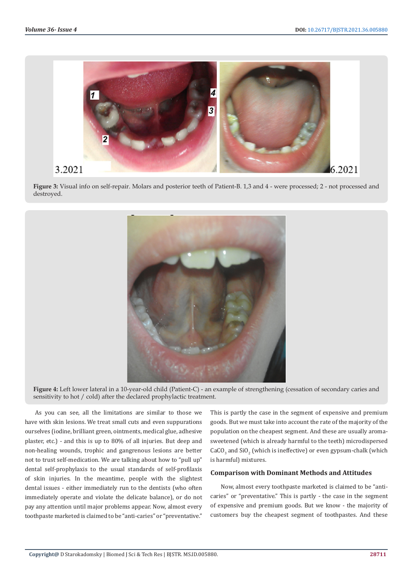

**Figure 3:** Visual info on self-repair. Molars and posterior teeth of Patient-B. 1,3 and 4 - were processed; 2 - not processed and destroyed.



**Figure 4:** Left lower lateral in a 10-year-old child (Patient-C) - an example of strengthening (cessation of secondary caries and sensitivity to hot / cold) after the declared prophylactic treatment.

As you can see, all the limitations are similar to those we have with skin lesions. We treat small cuts and even suppurations ourselves (iodine, brilliant green, ointments, medical glue, adhesive plaster, etc.) - and this is up to 80% of all injuries. But deep and non-healing wounds, trophic and gangrenous lesions are better not to trust self-medication. We are talking about how to "pull up" dental self-prophylaxis to the usual standards of self-profilaxis of skin injuries. In the meantime, people with the slightest dental issues - either immediately run to the dentists (who often immediately operate and violate the delicate balance), or do not pay any attention until major problems appear. Now, almost every toothpaste marketed is claimed to be "anti-caries" or "preventative."

This is partly the case in the segment of expensive and premium goods. But we must take into account the rate of the majority of the population on the cheapest segment. And these are usually aromasweetened (which is already harmful to the teeth) microdispersed  $\rm CaCO_{_3}$  and  $\rm SiO_2$  (which is ineffective) or even gypsum-chalk (which is harmful) mixtures.

#### **Comparison with Dominant Methods and Attitudes**

Now, almost every toothpaste marketed is claimed to be "anticaries" or "preventative." This is partly - the case in the segment of expensive and premium goods. But we know - the majority of customers buy the cheapest segment of toothpastes. And these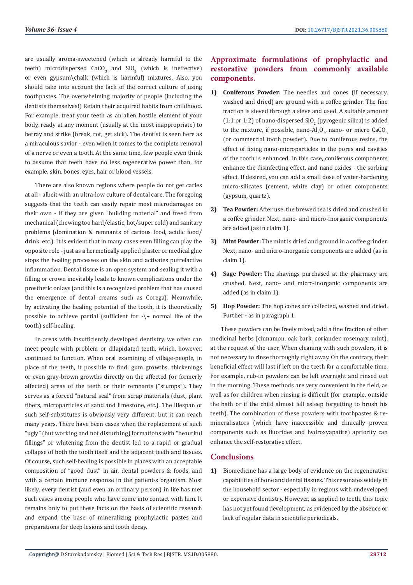are usually aroma-sweetened (which is already harmful to the teeth) microdispersed  $CaCO<sub>3</sub>$  and  $SiO<sub>2</sub>$  (which is ineffective) or even gypsum\chalk (which is harmful) mixtures. Also, you should take into account the lack of the correct culture of using toothpastes. The overwhelming majority of people (including the dentists themselves!) Retain their acquired habits from childhood. For example, treat your teeth as an alien hostile element of your body, ready at any moment (usually at the most inappropriate) to betray and strike (break, rot, get sick). The dentist is seen here as a miraculous savior - even when it comes to the complete removal of a nerve or even a tooth. At the same time, few people even think to assume that teeth have no less regenerative power than, for example, skin, bones, eyes, hair or blood vessels.

There are also known regions where people do not get caries at all - albeit with an ultra-low culture of dental care. The foregoing suggests that the teeth can easily repair most microdamages on their own - if they are given "building material" and freed from mechanical (chewing too hard/elastic, hot/super cold) and sanitary problems (domination & remnants of carious food, acidic food/ drink, etc.). It is evident that in many cases even filling can play the opposite role - just as a hermetically applied plaster or medical glue stops the healing processes on the skin and activates putrefactive inflammation. Dental tissue is an open system and sealing it with a filling or crown inevitably leads to known complications under the prosthetic onlays (and this is a recognized problem that has caused the emergence of dental creams such as Corega). Meanwhile, by activating the healing potential of the tooth, it is theoretically possible to achieve partial (sufficient for -\+ normal life of the tooth) self-healing.

In areas with insufficiently developed dentistry, we often can meet people with problem or dilapidated teeth, which, however, continued to function. When oral examining of village-people, in place of the teeth, it possible to find: gum growths, thickenings or even gray-brown growths directly on the affected (or formerly affected) areas of the teeth or their remnants ("stumps"). They serves as a forced "natural seal" from scrap materials (dust, plant fibers, microparticles of sand and limestone, etc.). The lifespan of such self-substitutes is obviously very different, but it can reach many years. There have been cases when the replacement of such "ugly" (but working and not disturbing) formations with "beautiful fillings" or whitening from the dentist led to a rapid or gradual collapse of both the tooth itself and the adjacent teeth and tissues. Of course, such self-healing is possible in places with an acceptable composition of "good dust" in air, dental powders & foods, and with a certain immune response in the patient-s organism. Most likely, every dentist (and even an ordinary person) in life has met such cases among people who have come into contact with him. It remains only to put these facts on the basis of scientific research and expand the base of mineralizing prophylactic pastes and preparations for deep lesions and tooth decay.

# **Approximate formulations of prophylactic and restorative powders from commonly available components.**

- **1) Coniferous Powder:** The needles and cones (if necessary, washed and dried) are ground with a coffee grinder. The fine fraction is sieved through a sieve and used. A suitable amount  $(1:1 \text{ or } 1:2)$  of nano-dispersed SiO<sub>2</sub> (pyrogenic silica) is added to the mixture, if possible, nano-Al $_2$ O<sub>3</sub>, nano- or micro CaCO<sub>3</sub> (or commercial tooth powder). Due to coniferous resins, the effect of fixing nano-microparticles in the pores and cavities of the tooth is enhanced. In this case, coniferous components enhance the disinfecting effect, and nano oxides - the sorbing effect. If desired, you can add a small dose of water-hardening micro-silicates (cement, white clay) or other components (gypsum, quartz).
- **2) Tea Powder:** After use, the brewed tea is dried and crushed in a coffee grinder. Next, nano- and micro-inorganic components are added (as in claim 1).
- **3) Mint Powder:** The mint is dried and ground in a coffee grinder. Next, nano- and micro-inorganic components are added (as in claim 1).
- **4) Sage Powder:** The shavings purchased at the pharmacy are crushed. Next, nano- and micro-inorganic components are added (as in claim 1).
- **5) Hop Powder:** The hop cones are collected, washed and dried. Further - as in paragraph 1.

These powders can be freely mixed, add a fine fraction of other medicinal herbs (cinnamon, oak bark, coriander, rosemary, mint), at the request of the user. When cleaning with such powders, it is not necessary to rinse thoroughly right away. On the contrary, their beneficial effect will last if left on the teeth for a comfortable time. For example, rub-in powders can be left overnight and rinsed out in the morning. These methods are very convenient in the field, as well as for children when rinsing is difficult (for example, outside the bath or if the child almost fell asleep forgetting to brush his teeth). The combination of these powders with toothpastes & remineralisators (which have inaccessible and clinically proven components such as fluorides and hydroxyapatite) apriority can enhance the self-restorative effect.

## **Conclusions**

**1)** Biomedicine has a large body of evidence on the regenerative capabilities of bone and dental tissues. This resonates widely in the household sector - especially in regions with undeveloped or expensive dentistry. However, as applied to teeth, this topic has not yet found development, as evidenced by the absence or lack of regular data in scientific periodicals.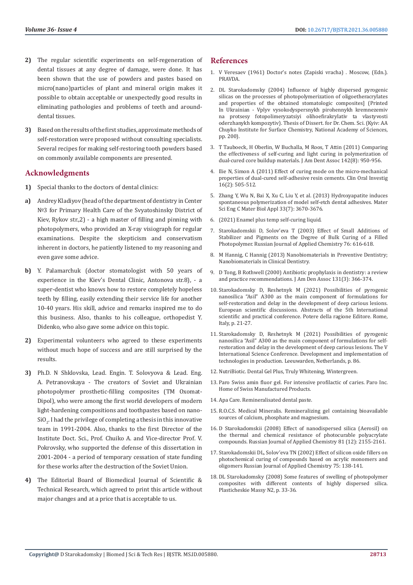- **2)** The regular scientific experiments on self-regeneration of dental tissues at any degree of damage, were done. It has been shown that the use of powders and pastes based on micro(nano)particles of plant and mineral origin makes it possible to obtain acceptable or unexpectedly good results in eliminating pathologies and problems of teeth and arounddental tissues.
- **3)** Based on the results of the first studies, approximate methods of self-restoration were proposed without consulting specialists. Several recipes for making self-restoring tooth powders based on commonly available components are presented.

# **Acknowledgments**

- **1)** Special thanks to the doctors of dental clinics:
- **a)** Andrey Kladiyov (head of the department of dentistry in Center №3 for Primary Health Care of the Svyatoshinsky District of Kiev, Rykov str.,2) - a high master of filling and pinning with photopolymers, who provided an X-ray visiograph for regular examinations. Despite the skepticism and conservatism inherent in doctors, he patiently listened to my reasoning and even gave some advice.
- **b)** Y. Palamarchuk (doctor stomatologist with 50 years of experience in the Kiev's Dental Clinic, Antonova str.8), - a super-dentist who knows how to restore completely hopeless teeth by filling, easily extending their service life for another 10-40 years. His skill, advice and remarks inspired me to do this business. Also, thanks to his colleague, orthopedist Y. Didenko, who also gave some advice on this topic.
- **2)** Experimental volunteers who agreed to these experiments without much hope of success and are still surprised by the results.
- **3)** Ph.D. N Shklovska, Lead. Engin. Т. Solovyova & Lead. Eng. A. Petranovskaya - The creators of Soviet and Ukrainian photopolymer prosthetic-filling composites (TM Oxomat-Dipol), who were among the first world developers of modern light-hardening compositions and toothpastes based on nano- $\mathop{\rm SU}\nolimits_2.$  I had the privilege of completing a thesis in this innovative team in 1991-2004. Also, thanks to the first Director of the Institute Doct. Sci., Prof. Chuiko A. and Vice-director Prof. V. Pokrovsky, who supported the defense of this dissertation in 2001-2004 - a period of temporary cessation of state funding for these works after the destruction of the Soviet Union.
- **4)** The Editorial Board of Biomedical Journal of Scientific & Technical Research, which agreed to print this article without major changes and at a price that is acceptable to us.

# **References**

- 1. V Veresaev (1961) Doctor's notes (Zapiski vracha) . Moscow, (Edn.). PRAVDA.
- 2. DL Starokadomsky (2004) Influence of highly dispersed pyrogenic silicas on the processes of photopolymerization of oligoetheracrylates and properties of the obtained stomatologic composites] (Printed In Ukrainian - Vplyv vysokodyspersnykh pirohennykh kremnezemiv na protsesy fotopolimeryzatsiyi olihoefirakrylativ ta vlastyvosti oderzhanykh kompozytiv). Thesis of Dissert. for Dr. Chem. Sci. (Kyiv: AA Chuyko Institute for Surface Chemistry, National Academy of Sciences, pp. 200).
- 3. [T Tauboeck, H Oberlin, W Buchalla, M Roos, T Attin \(2011\) Comparing](https://pubmed.ncbi.nlm.nih.gov/21804062/) [the effectiveness of self-curing and light curing in polymerization of](https://pubmed.ncbi.nlm.nih.gov/21804062/) [dual-cured core buildup materials. J Am Dent Assoc 142\(8\): 950-956.](https://pubmed.ncbi.nlm.nih.gov/21804062/)
- 4. [Ilie N, Simon A \(2011\) Effect of curing mode on the micro-mechanical](https://pubmed.ncbi.nlm.nih.gov/21350865/) [properties of dual-cured self-adhesive resin cements. Clin Oral Investig](https://pubmed.ncbi.nlm.nih.gov/21350865/) [16\(2\): 505-512.](https://pubmed.ncbi.nlm.nih.gov/21350865/)
- 5. [Zhang Y, Wu N, Bai X, Xu C, Liu Y, et al. \(2013\) Hydroxyapatite induces](https://pubmed.ncbi.nlm.nih.gov/23910263/) [spontaneous polymerization of model self-etch dental adhesives. Mater](https://pubmed.ncbi.nlm.nih.gov/23910263/) [Sci Eng C Mater Biol Appl 33\(7\): 3670-3676.](https://pubmed.ncbi.nlm.nih.gov/23910263/)
- 6. [\(2021\) Enamel plus temp self-curing liquid.](https://optident.co.uk/product/enamel-plus-temp-self-curing-liquid/)
- 7. [Starokadomskii D, Solov'eva T \(2003\) Effect of Small Additions of](https://link.springer.com/article/10.1023/A:1025799523031) [Stabilizer and Pigments on the Degree of Bulk Curing of a Filled](https://link.springer.com/article/10.1023/A:1025799523031) [Photopolymer. Russian Journal of Applied Chemistry 76: 616-618.](https://link.springer.com/article/10.1023/A:1025799523031)
- 8. [M Hannig, C Hannig \(2013\) Nanobiomaterials in Preventive Dentistry;](https://www.sciencedirect.com/book/9781455731275/nanobiomaterials-in-clinical-dentistry) [Nanobiomaterials in Clinical Dentistry.](https://www.sciencedirect.com/book/9781455731275/nanobiomaterials-in-clinical-dentistry)
- 9. [D Tong, B Rothwell \(2000\) Antibiotic prophylaxis in dentistry: a review](https://pubmed.ncbi.nlm.nih.gov/10715929/) [and practice recommendations. J Am Den Assoc 131\(3\): 366-374.](https://pubmed.ncbi.nlm.nih.gov/10715929/)
- 10. [Starokadomsky D, Reshetnyk M \(2021\) Possibilities of pyrogenic](https://sci-conf.com.ua/v-mezhdunarodnaya-nauchno-prakticheskaya-konferentsiya-european-scientific-discussions-28-30-marta-2021-goda-rim-italiya-arhiv/) [nanosilica "Asil" A300 as the main component of formulations for](https://sci-conf.com.ua/v-mezhdunarodnaya-nauchno-prakticheskaya-konferentsiya-european-scientific-discussions-28-30-marta-2021-goda-rim-italiya-arhiv/) [self-restoration and delay in the development of deep carious lesions.](https://sci-conf.com.ua/v-mezhdunarodnaya-nauchno-prakticheskaya-konferentsiya-european-scientific-discussions-28-30-marta-2021-goda-rim-italiya-arhiv/) [European scientific discussions. Abstracts of the 5th International](https://sci-conf.com.ua/v-mezhdunarodnaya-nauchno-prakticheskaya-konferentsiya-european-scientific-discussions-28-30-marta-2021-goda-rim-italiya-arhiv/) [scientific and practical conference. Potere della ragione Editore. Rome,](https://sci-conf.com.ua/v-mezhdunarodnaya-nauchno-prakticheskaya-konferentsiya-european-scientific-discussions-28-30-marta-2021-goda-rim-italiya-arhiv/) [Italy, p. 21-27.](https://sci-conf.com.ua/v-mezhdunarodnaya-nauchno-prakticheskaya-konferentsiya-european-scientific-discussions-28-30-marta-2021-goda-rim-italiya-arhiv/)
- 11. [Starokadomsky D, Reshetnyk M \(2021\) Possibilities of pyrogenic](https://eu-conf.com/) [nanosilica "Asil" A300 as the main component of formulations for self](https://eu-conf.com/)[restoration and delay in the development of deep carious lesions. The V](https://eu-conf.com/) [International Science Conference. Development and implementation of](https://eu-conf.com/) [technologies in production. Leeuwarden, Netherlands, p. 86.](https://eu-conf.com/)
- 12. [NutriBiotic. Dental Gel Plus, Truly Whitening, Wintergreen.](https://www.nutribiotic.com/whitening-dental-gel-plus.html)
- 13. [Paro Swiss amin fluor gel. For intensive profilactic of caries. Paro Inc.](https://www.paroswiss.com/) [Home of Swiss Manufactured Products.](https://www.paroswiss.com/)
- 14. [Apa Care. Remineralisated dental paste.](https://www.apacare.com/media/55/13/93/1612119001/apacare_produktuebersicht_eng_01_2019.pdf)
- 15. [R.O.C.S. Medical Mineralis. Remineralizing gel containing bioavailable](https://online.rocs.eu/catalog/product/69/) [sources of calcium, phosphate and magnesium.](https://online.rocs.eu/catalog/product/69/)
- 16. [D Starokadomskii \(2008\) Effect of nanodispersed silica \(Aerosil\) on](https://link.springer.com/article/10.1134/S1070427208120227) [the thermal and chemical resistance of photocurable polyacrylate](https://link.springer.com/article/10.1134/S1070427208120227) [compounds. Russian Journal of Applied Chemistry 81 \(12\): 2155-2161.](https://link.springer.com/article/10.1134/S1070427208120227)
- 17. [Starokadomskii DL, Solov'eva TN \(2002\) Effect of silicon oxide fillers on](https://link.springer.com/article/10.1023/A%3A1015597713736) [photochemical curing of compounds based on acrylic monomers and](https://link.springer.com/article/10.1023/A%3A1015597713736) [oligomers Russian Journal of Applied Chemistry 75: 138-141.](https://link.springer.com/article/10.1023/A%3A1015597713736)
- 18. DL Starokadomsky (2008) Some features of swelling of photopolymer composites with different contents of highly dispersed silica. Plasticheskie Massy N2, p. 33-36.